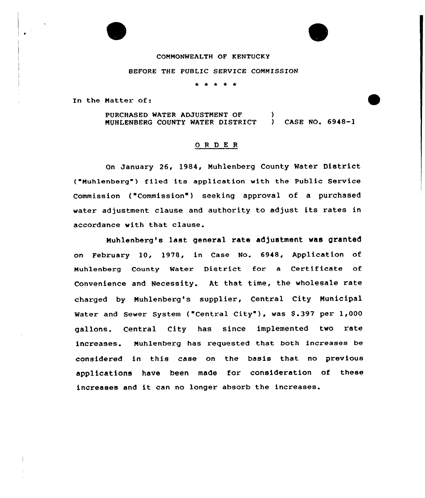

## COMMONWEALTH OF KENTUCKY

## BEFORE THE PUBLIC SERVICE COMMISSION

\* \* \* \* \*

In the Matter of:

PURCHASED WATER ADJUSTMENT OF MUHLENBERG COUNTY WATER DISTRICT ) ) CASE NO. 6948-1

## ORDER

On January 26, 1984, Muhlenberg County Water District ("Muhlenberg") filed its application with the Public Service Commission ("Commission') seeking approval of <sup>a</sup> purchased water adjustment clause and authority to adjust its rates in accordance with that clause.

Nuhlenberg's last general rate adjustment was granted on February 10, 1978, in Case No. 6948, Application of Muhlenberg County Water District for <sup>a</sup> Certificate of Convenience and Necessity. At that time, the wholesale rate charged by Muhlenberg's supplier, Central City Municipal Water and Sewer System ("Central City" ), was S.397 per 1,000 gallons. Central City has since implemented two rate increases. Muhlenberg has requested that both increases be considered in this case on the basis that no previous applications have been made for consideration of these increases and it can no longer absorb the increases.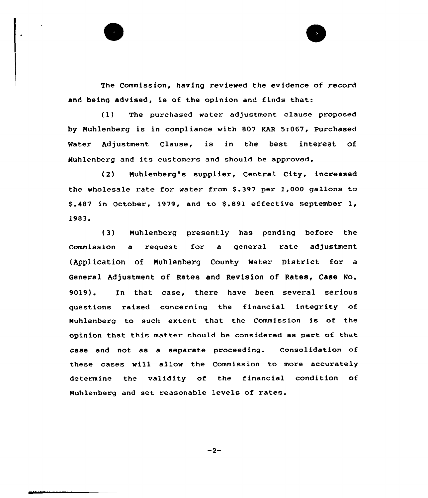The Commission, having reviewed the evidence of record and being advised, is of the opinion and finds that:

(1} The purchased water adjustment clause proposed by Muhlenberg is in compliance with 807 KAR 5:067, Purchased Mater Adjustment Clause, is in the best interest of Muhlenberg and its customers and should be approved.

(2) Nuhlenberg's supplier, Central City, increased the wholesale rate for water from 8.397 per 1,000 gallons to  $$.487$  in October, 1979, and to  $$.891$  effective September 1, 1983.<br>(3) Muhlenberg presently has pending before the

Commission a request for a general rate adjustment (Application of Nuhlenberg County Water District for a General Adjustment of Rates and Revision of Rates, Case No. 9019). In that case, there have been several serious questions raised concerning the financial integrity of Muhlenberg to such extent that the Commission is of the opinion that this matter should be considered as part of that case and not as a separate proceeding. Consolidation of these cases will allow the Commission to more accurately determine the validity of the financial condition of Nuhlenberg and set reasonable levels of rates.

 $-2-$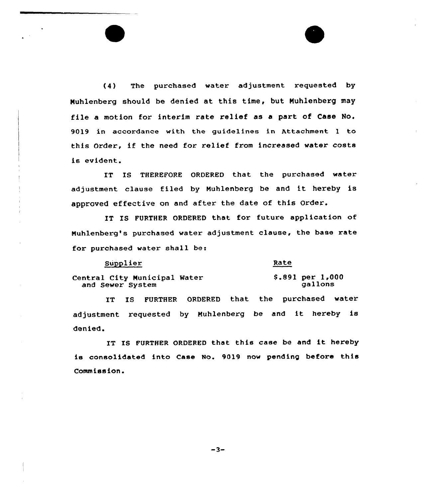(4) The purchased water adjustment requested by Muhlenberg should be denied at this time, but Nuhlenberg may file a motion for interim rate relief as <sup>a</sup> part of Case No. 9019 in accordance with the guidelines in Attachment <sup>1</sup> to this Order, if the need for relief from increased water costs is evident.

IT IS THEREFORE ORDERED that the purchased water adjustment clause filed by Huhlenberg be and it hereby is approved effective on and after the date of this Order.

IT IS FURTHER ORDERED that for future application of Nuhlenberg's purchased water adjustment clause, the base rate for purchased water shall be:

Rate

Central City Nunicipal Water and Sewer System

8.891 per 1,000 gallons

IT IS FURTHER ORDERED that the purchased water adjustment requested by Nuhlenberg be and it hereby is denied.

IT IS FURTHER ORDERED that this case be and it hereby is consolidated into Case No. 9019 now pending before this Commission.

 $-3-$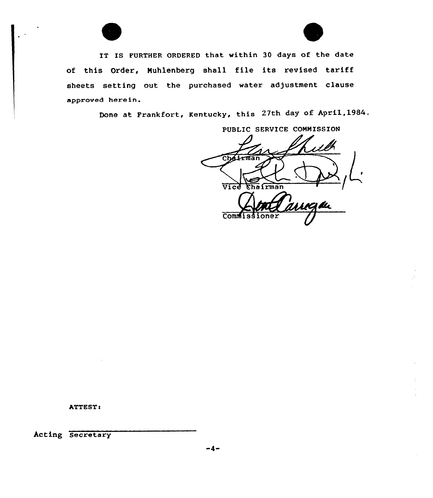



IT IS FURTHER ORDERED that within 30 days of the date of this Order, Muhlenberg shall file its revised tariff sheets setting out the purchased water adjustment clause approved herein.

Done at Frankfort, kentucky, this 27th day of April,1984.

PUBLIC SERVICE COMMISSION Vied Chairman **Commis** 

ATTEST:

Acting Secretary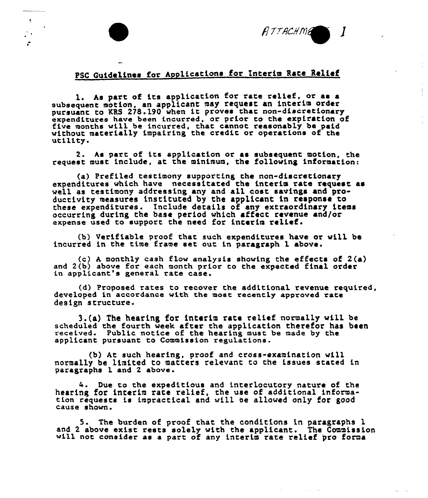

ATTACHME

 $\frac{1}{4}$ 

 $\sim$  $\frac{1}{1}$  $\sim$  $\sim$ 

¥.

÷.

l. As part of its application for rate relief, or as <sup>a</sup> subsequent motion, an applicant may request an interim order<br>pursuant to KRS 278.190 when it proves that non-discretionar expenditures have been incurred, or prior to the expiration of<br>five months will be incurred, that cannot reasonably be paid without materially impairing the credit or operations of the utility.

2. hs part of its application or as subsequent motion, the request must include, at the minimum, the following information:

(a) Prefilcd testimony supporting the non-discretionary expenditures which have necessitated the interim rate request as well as testimony addressing any and all cost savings and productivity measures instituted by the applicant in response to these expenditures. Include details of any extraordinary items occurring during the base period which affect revenue and/or expense used to support the need for interim relief.

(b) Verifiable proof that such expenditures have or will be incurred in the time frame set out in paragraph 1 above.

(c) <sup>A</sup> monthly cash flow analysis showing the effects of 2(a) and 2(b) above for each month prior to the expected final order in applicant's general rate case.

(d) Proposed rates to recover the additional revenue required, developed in accordance with the most recently approved rate design structure.

3.(a) The hearing for interim rate relief normally will be scheduled the fourth week after the application therefor has been received. Public notice of the hearing must be made by the applicant pursuant to Commission regulations.

(b) At such hearing, proof and cross-examination vill normally be limited to matters relevant to the issues stated in paragraphs 1 and 2 above.

4. Due to the expeditious and interlocutory nature of the hearing for interim rate relief, the use of additional information requests is impractical and wi11 be allowed only for good cause shown.

5. The burden of proof that the conditions in paragraphs 1 and 2 above exist rests solely with the applicant. The Commission will not consider as a part of any interim rate relief pro forma